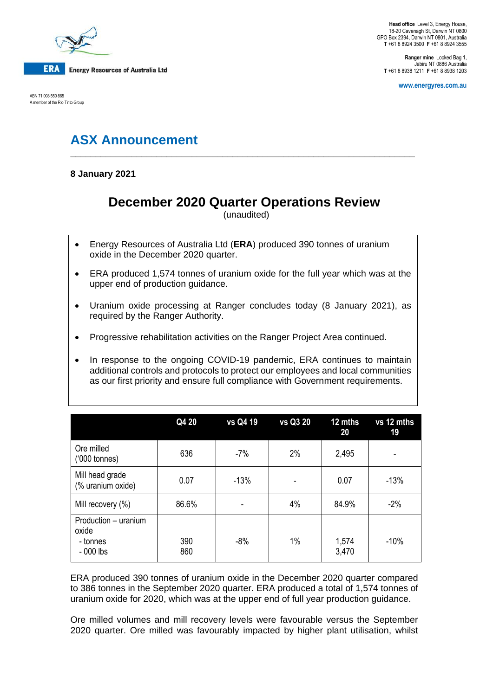

ABN 71 008 550 865 A member of the Rio Tinto Group

**Ranger mine** Locked Bag 1, Jabiru NT 0886 Australia **T** +61 8 8938 1211 **F** +61 8 8938 1203

**www.energyres.com.au**

# **ASX Announcement**

**8 January 2021**

## **December 2020 Quarter Operations Review**

**\_\_\_\_\_\_\_\_\_\_\_\_\_\_\_\_\_\_\_\_\_\_\_\_\_\_\_\_\_\_\_\_\_\_\_\_\_\_\_\_\_\_\_\_\_\_\_\_\_\_\_\_\_\_\_\_\_\_\_\_\_\_\_\_\_\_\_\_**

(unaudited)

- Energy Resources of Australia Ltd (**ERA**) produced 390 tonnes of uranium oxide in the December 2020 quarter.
- ERA produced 1,574 tonnes of uranium oxide for the full year which was at the upper end of production guidance.
- Uranium oxide processing at Ranger concludes today (8 January 2021), as required by the Ranger Authority.
- Progressive rehabilitation activities on the Ranger Project Area continued.
- In response to the ongoing COVID-19 pandemic, ERA continues to maintain additional controls and protocols to protect our employees and local communities as our first priority and ensure full compliance with Government requirements.

|                                                         | Q4 20      | vs Q4 19 | vs Q3 20 | 12 mths<br>20  | vs 12 mths<br>19 |
|---------------------------------------------------------|------------|----------|----------|----------------|------------------|
| Ore milled<br>$(000 \text{ tonnes})$                    | 636        | $-7%$    | 2%       | 2,495          |                  |
| Mill head grade<br>(% uranium oxide)                    | 0.07       | $-13%$   |          | 0.07           | $-13%$           |
| Mill recovery (%)                                       | 86.6%      |          | 4%       | 84.9%          | $-2%$            |
| Production - uranium<br>oxide<br>- tonnes<br>$-000$ lbs | 390<br>860 | $-8%$    | 1%       | 1,574<br>3,470 | $-10%$           |

ERA produced 390 tonnes of uranium oxide in the December 2020 quarter compared to 386 tonnes in the September 2020 quarter. ERA produced a total of 1,574 tonnes of uranium oxide for 2020, which was at the upper end of full year production guidance.

Ore milled volumes and mill recovery levels were favourable versus the September 2020 quarter. Ore milled was favourably impacted by higher plant utilisation, whilst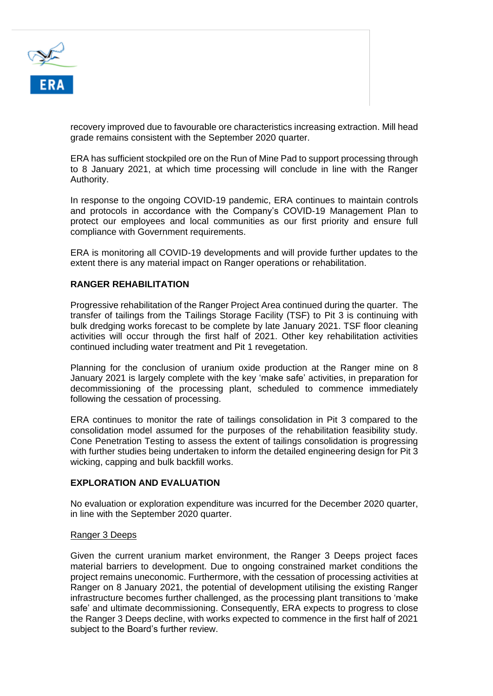

recovery improved due to favourable ore characteristics increasing extraction. Mill head grade remains consistent with the September 2020 quarter.

ERA has sufficient stockpiled ore on the Run of Mine Pad to support processing through to 8 January 2021, at which time processing will conclude in line with the Ranger Authority.

In response to the ongoing COVID-19 pandemic, ERA continues to maintain controls and protocols in accordance with the Company's COVID-19 Management Plan to protect our employees and local communities as our first priority and ensure full compliance with Government requirements.

ERA is monitoring all COVID-19 developments and will provide further updates to the extent there is any material impact on Ranger operations or rehabilitation.

### **RANGER REHABILITATION**

Progressive rehabilitation of the Ranger Project Area continued during the quarter. The transfer of tailings from the Tailings Storage Facility (TSF) to Pit 3 is continuing with bulk dredging works forecast to be complete by late January 2021. TSF floor cleaning activities will occur through the first half of 2021. Other key rehabilitation activities continued including water treatment and Pit 1 revegetation.

Planning for the conclusion of uranium oxide production at the Ranger mine on 8 January 2021 is largely complete with the key 'make safe' activities, in preparation for decommissioning of the processing plant, scheduled to commence immediately following the cessation of processing.

ERA continues to monitor the rate of tailings consolidation in Pit 3 compared to the consolidation model assumed for the purposes of the rehabilitation feasibility study. Cone Penetration Testing to assess the extent of tailings consolidation is progressing with further studies being undertaken to inform the detailed engineering design for Pit 3 wicking, capping and bulk backfill works.

#### **EXPLORATION AND EVALUATION**

No evaluation or exploration expenditure was incurred for the December 2020 quarter, in line with the September 2020 quarter.

#### Ranger 3 Deeps

Given the current uranium market environment, the Ranger 3 Deeps project faces material barriers to development. Due to ongoing constrained market conditions the project remains uneconomic. Furthermore, with the cessation of processing activities at Ranger on 8 January 2021, the potential of development utilising the existing Ranger infrastructure becomes further challenged, as the processing plant transitions to 'make safe' and ultimate decommissioning. Consequently, ERA expects to progress to close the Ranger 3 Deeps decline, with works expected to commence in the first half of 2021 subject to the Board's further review.